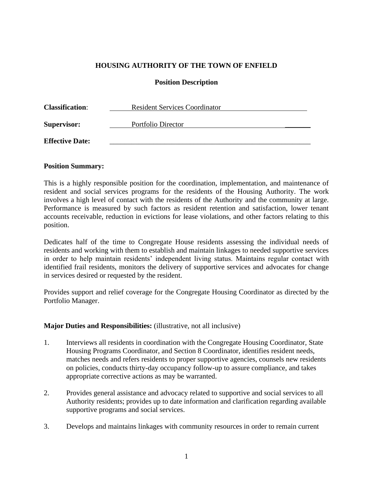## **HOUSING AUTHORITY OF THE TOWN OF ENFIELD**

### **Position Description**

| <b>Classification:</b> | <b>Resident Services Coordinator</b> |  |
|------------------------|--------------------------------------|--|
| <b>Supervisor:</b>     | Portfolio Director                   |  |
| <b>Effective Date:</b> |                                      |  |

#### **Position Summary:**

This is a highly responsible position for the coordination, implementation, and maintenance of resident and social services programs for the residents of the Housing Authority. The work involves a high level of contact with the residents of the Authority and the community at large. Performance is measured by such factors as resident retention and satisfaction, lower tenant accounts receivable, reduction in evictions for lease violations, and other factors relating to this position.

Dedicates half of the time to Congregate House residents assessing the individual needs of residents and working with them to establish and maintain linkages to needed supportive services in order to help maintain residents' independent living status. Maintains regular contact with identified frail residents, monitors the delivery of supportive services and advocates for change in services desired or requested by the resident.

Provides support and relief coverage for the Congregate Housing Coordinator as directed by the Portfolio Manager.

## **Major Duties and Responsibilities:** (illustrative, not all inclusive)

- 1. Interviews all residents in coordination with the Congregate Housing Coordinator, State Housing Programs Coordinator, and Section 8 Coordinator, identifies resident needs, matches needs and refers residents to proper supportive agencies, counsels new residents on policies, conducts thirty-day occupancy follow-up to assure compliance, and takes appropriate corrective actions as may be warranted.
- 2. Provides general assistance and advocacy related to supportive and social services to all Authority residents; provides up to date information and clarification regarding available supportive programs and social services.
- 3. Develops and maintains linkages with community resources in order to remain current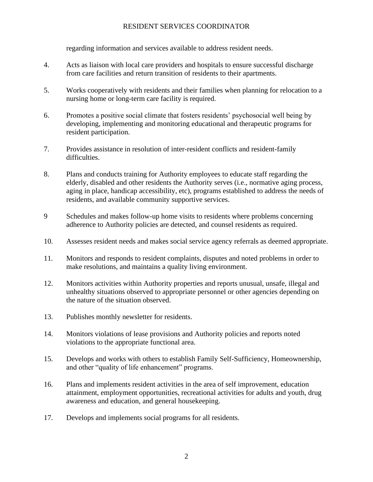regarding information and services available to address resident needs.

- 4. Acts as liaison with local care providers and hospitals to ensure successful discharge from care facilities and return transition of residents to their apartments.
- 5. Works cooperatively with residents and their families when planning for relocation to a nursing home or long-term care facility is required.
- 6. Promotes a positive social climate that fosters residents' psychosocial well being by developing, implementing and monitoring educational and therapeutic programs for resident participation.
- 7. Provides assistance in resolution of inter-resident conflicts and resident-family difficulties.
- 8. Plans and conducts training for Authority employees to educate staff regarding the elderly, disabled and other residents the Authority serves (i.e., normative aging process, aging in place, handicap accessibility, etc), programs established to address the needs of residents, and available community supportive services.
- 9 Schedules and makes follow-up home visits to residents where problems concerning adherence to Authority policies are detected, and counsel residents as required.
- 10. Assesses resident needs and makes social service agency referrals as deemed appropriate.
- 11*.* Monitors and responds to resident complaints, disputes and noted problems in order to make resolutions, and maintains a quality living environment.
- 12. Monitors activities within Authority properties and reports unusual, unsafe, illegal and unhealthy situations observed to appropriate personnel or other agencies depending on the nature of the situation observed.
- 13. Publishes monthly newsletter for residents.
- 14. Monitors violations of lease provisions and Authority policies and reports noted violations to the appropriate functional area.
- 15. Develops and works with others to establish Family Self-Sufficiency, Homeownership, and other "quality of life enhancement" programs.
- 16. Plans and implements resident activities in the area of self improvement, education attainment, employment opportunities, recreational activities for adults and youth, drug awareness and education, and general housekeeping.
- 17. Develops and implements social programs for all residents.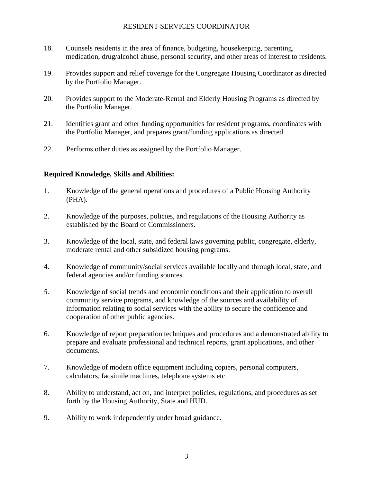- 18. Counsels residents in the area of finance, budgeting, housekeeping, parenting, medication, drug/alcohol abuse, personal security, and other areas of interest to residents.
- 19. Provides support and relief coverage for the Congregate Housing Coordinator as directed by the Portfolio Manager.
- 20. Provides support to the Moderate-Rental and Elderly Housing Programs as directed by the Portfolio Manager.
- 21. Identifies grant and other funding opportunities for resident programs, coordinates with the Portfolio Manager, and prepares grant/funding applications as directed.
- 22. Performs other duties as assigned by the Portfolio Manager.

# **Required Knowledge, Skills and Abilities:**

- 1. Knowledge of the general operations and procedures of a Public Housing Authority (PHA).
- 2. Knowledge of the purposes, policies, and regulations of the Housing Authority as established by the Board of Commissioners.
- 3. Knowledge of the local, state, and federal laws governing public, congregate, elderly, moderate rental and other subsidized housing programs.
- 4. Knowledge of community/social services available locally and through local, state, and federal agencies and/or funding sources.
- *5.* Knowledge of social trends and economic conditions and their application to overall community service programs, and knowledge of the sources and availability of information relating to social services with the ability to secure the confidence and cooperation of other public agencies.
- 6. Knowledge of report preparation techniques and procedures and a demonstrated ability to prepare and evaluate professional and technical reports, grant applications, and other documents.
- 7. Knowledge of modern office equipment including copiers, personal computers, calculators, facsimile machines, telephone systems etc.
- 8. Ability to understand, act on, and interpret policies, regulations, and procedures as set forth by the Housing Authority, State and HUD.
- 9. Ability to work independently under broad guidance.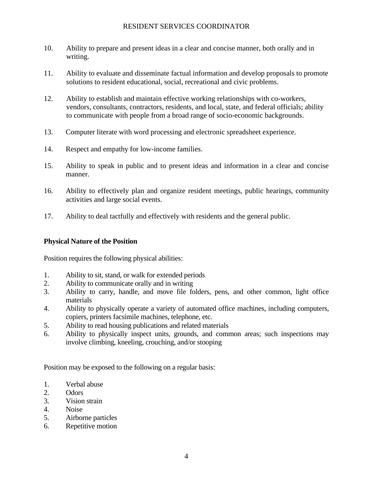- 10. Ability to prepare and present ideas in a clear and concise manner, both orally and in writing.
- 11. Ability to evaluate and disseminate factual information and develop proposals to promote solutions to resident educational, social, recreational and civic problems.
- 12. Ability to establish and maintain effective working relationships with co-workers, vendors, consultants, contractors, residents, and local, state, and federal officials; ability to communicate with people from a broad range of socio-economic backgrounds.
- 13. Computer literate with word processing and electronic spreadsheet experience.
- 14. Respect and empathy for low-income families.
- 15. Ability to speak in public and to present ideas and information in a clear and concise manner.
- 16. Ability to effectively plan and organize resident meetings, public hearings, community activities and large social events.
- 17. Ability to deal tactfully and effectively with residents and the general public.

## **Physical Nature of the Position**

Position requires the following physical abilities:

- 1. Ability to sit, stand, or walk for extended periods
- 2. Ability to communicate orally and in writing
- 3. Ability to carry, handle, and move file folders, pens, and other common, light office materials
- 4. Ability to physically operate a variety of automated office machines, including computers, copiers, printers facsimile machines, telephone, etc.
- 5. Ability to read housing publications and related materials
- 6. Ability to physically inspect units, grounds, and common areas; such inspections may involve climbing, kneeling, crouching, and/or stooping

Position may be exposed to the following on a regular basis:

- 1. Verbal abuse
- 2. Odors
- 3. Vision strain
- 4. Noise
- 5. Airborne particles
- 6. Repetitive motion